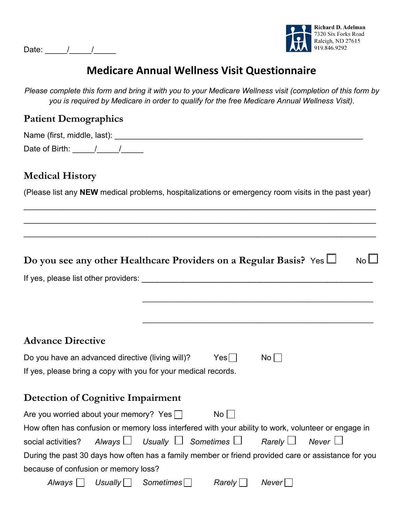Date: \_\_\_\_\_/\_\_\_\_\_/\_\_\_\_\_



# **Medicare Annual Wellness Visit Questionnaire**

*Please complete this form and bring it with you to your Medicare Wellness visit (completion of this form by you is required by Medicare in order to qualify for the free Medicare Annual Wellness Visit).* 

#### **Patient Demographics**

Name (first, middle, last): \_\_\_\_\_\_\_\_\_\_\_\_\_\_\_\_\_\_\_\_\_\_\_\_\_\_\_\_\_\_\_\_\_\_\_\_\_\_\_\_\_\_\_\_\_\_\_\_\_\_\_\_\_\_\_\_ Date of Birth: \_\_\_\_\_/\_\_\_\_\_/\_\_\_\_\_

#### **Medical History**

(Please list any **NEW** medical problems, hospitalizations or emergency room visits in the past year)

\_\_\_\_\_\_\_\_\_\_\_\_\_\_\_\_\_\_\_\_\_\_\_\_\_\_\_\_\_\_\_\_\_\_\_\_\_\_\_\_\_\_\_\_\_\_\_\_\_\_\_\_\_\_\_\_\_\_\_\_\_\_\_\_\_\_\_\_\_\_\_\_\_\_\_\_\_\_\_\_

\_\_\_\_\_\_\_\_\_\_\_\_\_\_\_\_\_\_\_\_\_\_\_\_\_\_\_\_\_\_\_\_\_\_\_\_\_\_\_\_\_\_\_\_\_\_\_\_\_\_\_\_\_\_\_\_\_\_\_\_\_\_\_\_\_\_\_\_\_\_\_\_\_\_\_\_\_\_\_\_

\_\_\_\_\_\_\_\_\_\_\_\_\_\_\_\_\_\_\_\_\_\_\_\_\_\_\_\_\_\_\_\_\_\_\_\_\_\_\_\_\_\_\_\_\_\_\_\_\_\_\_\_\_\_\_\_\_\_\_\_\_\_\_\_\_\_\_\_\_\_\_\_\_\_\_\_\_\_\_\_

| Do you see any other Healthcare Providers on a Regular Basis? Yes $\Box$                            |                                 |                          | <b>No</b>    |
|-----------------------------------------------------------------------------------------------------|---------------------------------|--------------------------|--------------|
| If yes, please list other providers:                                                                |                                 |                          |              |
|                                                                                                     |                                 |                          |              |
|                                                                                                     |                                 |                          |              |
| <b>Advance Directive</b>                                                                            |                                 |                          |              |
| Do you have an advanced directive (living will)?                                                    | $Yes$                           | $\overline{N}$ o $\vert$ |              |
| If yes, please bring a copy with you for your medical records.                                      |                                 |                          |              |
| <b>Detection of Cognitive Impairment</b>                                                            |                                 |                          |              |
| Are you worried about your memory? Yes $\Box$                                                       | $No$   $\blacksquare$           |                          |              |
| How often has confusion or memory loss interfered with your ability to work, volunteer or engage in |                                 |                          |              |
| social activities? Always $\Box$ Usually $\Box$ Sometimes $\Box$ Rarely $\Box$                      |                                 |                          | Never $\Box$ |
| During the past 30 days how often has a family member or friend provided care or assistance for you |                                 |                          |              |
| because of confusion or memory loss?                                                                |                                 |                          |              |
| Usually $\Box$<br>Always                                                                            | Sometimes<br>$Rarely \bigsqcup$ | Never                    |              |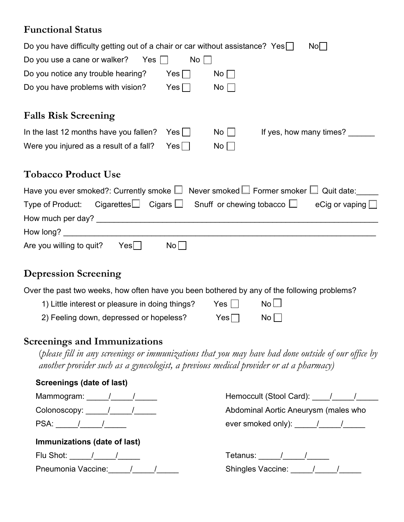## **Functional Status**

| Do you have difficulty getting out of a chair or car without assistance? Yes $\Box$<br>No                                                                                                     |
|-----------------------------------------------------------------------------------------------------------------------------------------------------------------------------------------------|
| Do you use a cane or walker?<br>No<br>Yes                                                                                                                                                     |
| Do you notice any trouble hearing?<br>$Yes \Box$<br>$\mathsf{No}\,\Box$                                                                                                                       |
| Do you have problems with vision?<br>$Yes \Box$<br>No                                                                                                                                         |
| <b>Falls Risk Screening</b>                                                                                                                                                                   |
| If yes, how many times? ______<br>In the last 12 months have you fallen?<br>No<br>Yes                                                                                                         |
| Were you injured as a result of a fall?<br>$Yes \Box$<br>No                                                                                                                                   |
| <b>Tobacco Product Use</b>                                                                                                                                                                    |
| Have you ever smoked?: Currently smoke $\square$ Never smoked $\square$ Former smoker $\square$ Quit date:                                                                                    |
| $\hbox{\tt Cigareftes}\bigsqcup\hbox{\tt Cigars}\bigsqcup\hbox{\tt Snuff}\hbox{\tt or chewing tobacco}\bigsqcup\hbox{\tt Cigareftes}$<br>Type of Product:<br>eCig or vaping $\Box$            |
|                                                                                                                                                                                               |
|                                                                                                                                                                                               |
| No <sub>1</sub><br>Are you willing to quit? Yes $\Box$                                                                                                                                        |
| <b>Depression Screening</b>                                                                                                                                                                   |
| Over the past two weeks, how often have you been bothered by any of the following problems?                                                                                                   |
| $No$ $\Box$<br>1) Little interest or pleasure in doing things?<br>$Yes \Box$                                                                                                                  |
| 2) Feeling down, depressed or hopeless?<br>No<br>$Yes \Box$                                                                                                                                   |
| <b>Screenings and Immunizations</b>                                                                                                                                                           |
| (please fill in any screenings or immunizations that you may have had done outside of our office by<br>another provider such as a gynecologist, a previous medical provider or at a pharmacy) |

| Screenings (date of last)                                                                                                              |                                                                                                                                                                                                                                                                                                                                                                                                               |  |
|----------------------------------------------------------------------------------------------------------------------------------------|---------------------------------------------------------------------------------------------------------------------------------------------------------------------------------------------------------------------------------------------------------------------------------------------------------------------------------------------------------------------------------------------------------------|--|
| Mammogram: $\frac{1}{\sqrt{1-\frac{1}{2}}}\frac{1}{\sqrt{1-\frac{1}{2}}}}$                                                             | Hemoccult (Stool Card): 1 1                                                                                                                                                                                                                                                                                                                                                                                   |  |
| Colonoscopy: $\frac{1}{\sqrt{1-\frac{1}{2}}}\frac{1}{\sqrt{1-\frac{1}{2}}\sqrt{1-\frac{1}{2}}\sqrt{1-\frac{1}{2}}\sqrt{1-\frac{1}{2}}$ | Abdominal Aortic Aneurysm (males who                                                                                                                                                                                                                                                                                                                                                                          |  |
| $PSA:$ $/$ $/$ $/$                                                                                                                     | ever smoked only): $\frac{1}{\sqrt{1-\frac{1}{2}}}\frac{1}{\sqrt{1-\frac{1}{2}}}\frac{1}{\sqrt{1-\frac{1}{2}}}\frac{1}{\sqrt{1-\frac{1}{2}}}\frac{1}{\sqrt{1-\frac{1}{2}}}\frac{1}{\sqrt{1-\frac{1}{2}}}\frac{1}{\sqrt{1-\frac{1}{2}}}\frac{1}{\sqrt{1-\frac{1}{2}}}\frac{1}{\sqrt{1-\frac{1}{2}}}\frac{1}{\sqrt{1-\frac{1}{2}}}\frac{1}{\sqrt{1-\frac{1}{2}}}\frac{1}{\sqrt{1-\frac{1}{2}}}\frac{1}{\sqrt{1$ |  |
| Immunizations (date of last)                                                                                                           |                                                                                                                                                                                                                                                                                                                                                                                                               |  |
| Flu Shot: $\qquad$ / $\qquad$ /                                                                                                        | Tetanus: / /                                                                                                                                                                                                                                                                                                                                                                                                  |  |
| Pneumonia Vaccine: / / / /                                                                                                             | Shingles Vaccine: / / /                                                                                                                                                                                                                                                                                                                                                                                       |  |